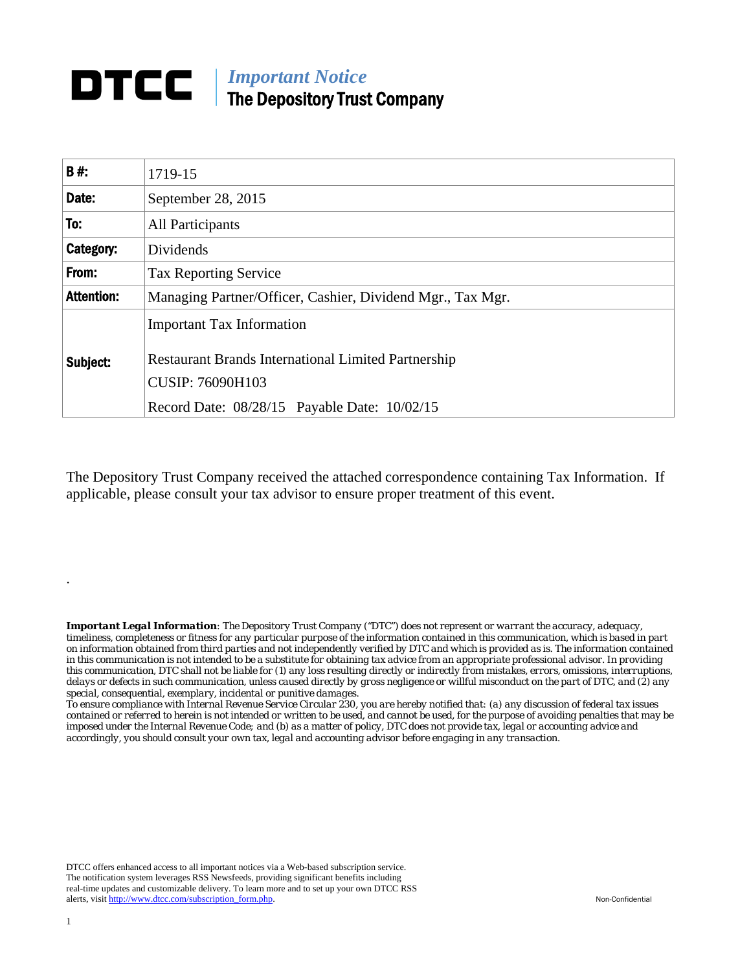## *Important Notice*  The Depository Trust Company

| <b>B#:</b>        | 1719-15                                                                                                                   |
|-------------------|---------------------------------------------------------------------------------------------------------------------------|
| Date:             | September 28, 2015                                                                                                        |
| To:               | <b>All Participants</b>                                                                                                   |
| Category:         | Dividends                                                                                                                 |
| From:             | <b>Tax Reporting Service</b>                                                                                              |
| <b>Attention:</b> | Managing Partner/Officer, Cashier, Dividend Mgr., Tax Mgr.                                                                |
| Subject:          | <b>Important Tax Information</b><br><b>Restaurant Brands International Limited Partnership</b><br><b>CUSIP: 76090H103</b> |
|                   | Record Date: 08/28/15 Payable Date: 10/02/15                                                                              |

The Depository Trust Company received the attached correspondence containing Tax Information. If applicable, please consult your tax advisor to ensure proper treatment of this event.

*Important Legal Information: The Depository Trust Company ("DTC") does not represent or warrant the accuracy, adequacy, timeliness, completeness or fitness for any particular purpose of the information contained in this communication, which is based in part on information obtained from third parties and not independently verified by DTC and which is provided as is. The information contained in this communication is not intended to be a substitute for obtaining tax advice from an appropriate professional advisor. In providing this communication, DTC shall not be liable for (1) any loss resulting directly or indirectly from mistakes, errors, omissions, interruptions, delays or defects in such communication, unless caused directly by gross negligence or willful misconduct on the part of DTC, and (2) any special, consequential, exemplary, incidental or punitive damages.* 

*To ensure compliance with Internal Revenue Service Circular 230, you are hereby notified that: (a) any discussion of federal tax issues contained or referred to herein is not intended or written to be used, and cannot be used, for the purpose of avoiding penalties that may be imposed under the Internal Revenue Code; and (b) as a matter of policy, DTC does not provide tax, legal or accounting advice and accordingly, you should consult your own tax, legal and accounting advisor before engaging in any transaction.*

DTCC offers enhanced access to all important notices via a Web-based subscription service. The notification system leverages RSS Newsfeeds, providing significant benefits including real-time updates and customizable delivery. To learn more and to set up your own DTCC RSS alerts, visit http://www.dtcc.com/subscription\_form.php. Non-Confidential

.